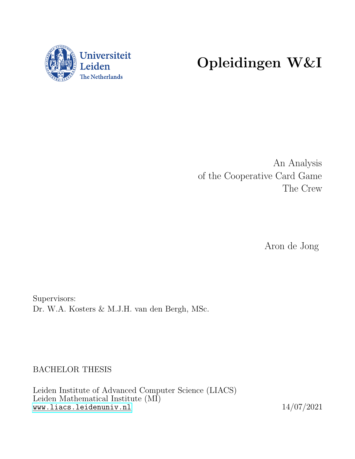

# Opleidingen W&I

An Analysis of the Cooperative Card Game The Crew

Aron de Jong

Supervisors: Dr. W.A. Kosters & M.J.H. van den Bergh, MSc.

BACHELOR THESIS

Leiden Institute of Advanced Computer Science (LIACS) Leiden Mathematical Institute (MI) <www.liacs.leidenuniv.nl> 14/07/2021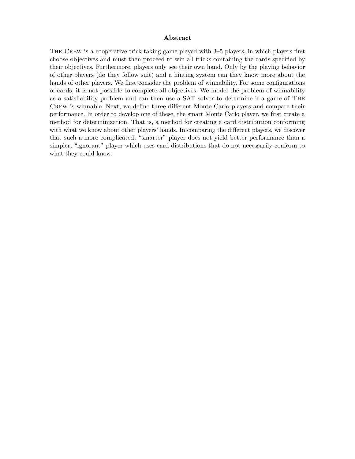#### Abstract

THE CREW is a cooperative trick taking game played with 3–5 players, in which players first choose objectives and must then proceed to win all tricks containing the cards specified by their objectives. Furthermore, players only see their own hand. Only by the playing behavior of other players (do they follow suit) and a hinting system can they know more about the hands of other players. We first consider the problem of winnability. For some configurations of cards, it is not possible to complete all objectives. We model the problem of winnability as a satisfiability problem and can then use a SAT solver to determine if a game of The Crew is winnable. Next, we define three different Monte Carlo players and compare their performance. In order to develop one of these, the smart Monte Carlo player, we first create a method for determinization. That is, a method for creating a card distribution conforming with what we know about other players' hands. In comparing the different players, we discover that such a more complicated, "smarter" player does not yield better performance than a simpler, "ignorant" player which uses card distributions that do not necessarily conform to what they could know.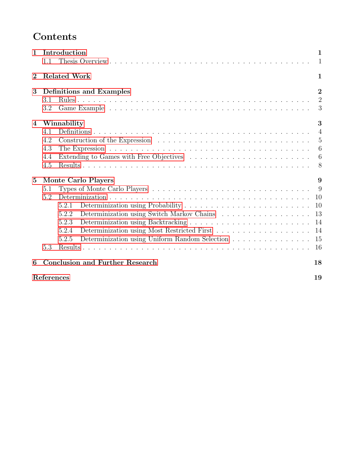# Contents

| $\mathbf{1}$   | Introduction<br>1<br>1.1<br>$\mathbf{1}$     |                                                         |                                       |  |  |  |  |  |
|----------------|----------------------------------------------|---------------------------------------------------------|---------------------------------------|--|--|--|--|--|
| $\bf{2}$       |                                              | <b>Related Work</b><br>1                                |                                       |  |  |  |  |  |
| 3              | 3.1<br>3.2                                   | <b>Definitions and Examples</b>                         | $\overline{2}$<br>$\overline{2}$<br>3 |  |  |  |  |  |
| $\overline{4}$ |                                              | Winnability<br>3                                        |                                       |  |  |  |  |  |
|                | 4.1                                          |                                                         | $\overline{4}$                        |  |  |  |  |  |
|                | 4.2                                          |                                                         | 5                                     |  |  |  |  |  |
|                | 4.3                                          |                                                         | 6                                     |  |  |  |  |  |
|                | 4.4                                          |                                                         | 6                                     |  |  |  |  |  |
|                | 4.5                                          |                                                         | 8                                     |  |  |  |  |  |
| $\bf{5}$       |                                              | Monte Carlo Players                                     | 9                                     |  |  |  |  |  |
|                | 5.1                                          | 9                                                       |                                       |  |  |  |  |  |
|                | 5.2                                          |                                                         | 10                                    |  |  |  |  |  |
|                |                                              | 5.2.1                                                   | 10                                    |  |  |  |  |  |
|                |                                              | Determinization using Switch Markov Chains<br>5.2.2     | 13                                    |  |  |  |  |  |
|                |                                              | 5.2.3                                                   | 14                                    |  |  |  |  |  |
|                |                                              | 5.2.4                                                   | 14                                    |  |  |  |  |  |
|                |                                              | Determinization using Uniform Random Selection<br>5.2.5 | 15                                    |  |  |  |  |  |
|                | 5.3                                          |                                                         | 16                                    |  |  |  |  |  |
| 6              | <b>Conclusion and Further Research</b><br>18 |                                                         |                                       |  |  |  |  |  |
|                | References                                   |                                                         | 19                                    |  |  |  |  |  |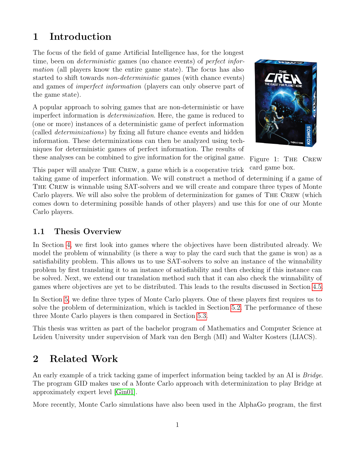# <span id="page-3-0"></span>1 Introduction

The focus of the field of game Artificial Intelligence has, for the longest time, been on *deterministic* games (no chance events) of *perfect infor*mation (all players know the entire game state). The focus has also started to shift towards non-deterministic games (with chance events) and games of imperfect information (players can only observe part of the game state).

A popular approach to solving games that are non-deterministic or have imperfect information is determinization. Here, the game is reduced to (one or more) instances of a deterministic game of perfect information (called determinizations) by fixing all future chance events and hidden information. These determinizations can then be analyzed using techniques for deterministic games of perfect information. The results of



Figure 1: THE CREW card game box.

these analyses can be combined to give information for the original game.

This paper will analyze The Crew, a game which is a cooperative trick taking game of imperfect information. We will construct a method of determining if a game of THE CREW is winnable using SAT-solvers and we will create and compare three types of Monte Carlo players. We will also solve the problem of determinization for games of The Crew (which comes down to determining possible hands of other players) and use this for one of our Monte Carlo players.

### <span id="page-3-1"></span>1.1 Thesis Overview

In Section [4,](#page-5-1) we first look into games where the objectives have been distributed already. We model the problem of winnability (is there a way to play the card such that the game is won) as a satisfiability problem. This allows us to use SAT-solvers to solve an instance of the winnability problem by first translating it to an instance of satisfiability and then checking if this instance can be solved. Next, we extend our translation method such that it can also check the winnability of games where objectives are yet to be distributed. This leads to the results discussed in Section [4.5.](#page-10-0)

In Section [5,](#page-11-0) we define three types of Monte Carlo players. One of these players first requires us to solve the problem of determinization, which is tackled in Section [5.2.](#page-12-0) The performance of these three Monte Carlo players is then compared in Section [5.3.](#page-18-0)

This thesis was written as part of the bachelor program of Mathematics and Computer Science at Leiden University under supervision of Mark van den Bergh (MI) and Walter Kosters (LIACS).

# <span id="page-3-2"></span>2 Related Work

An early example of a trick tacking game of imperfect information being tackled by an AI is *Bridge*. The program GID makes use of a Monte Carlo approach with determinization to play Bridge at approximately expert level [\[Gin01\]](#page-21-1).

More recently, Monte Carlo simulations have also been used in the AlphaGo program, the first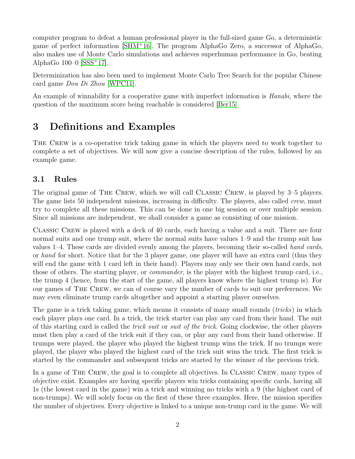computer program to defeat a human professional player in the full-sized game Go, a deterministic game of perfect information [\[SHM](#page-21-2)<sup>+</sup>16]. The program AlphaGo Zero, a successor of AlphaGo, also makes use of Monte Carlo simulations and achieves superhuman performance in Go, beating AlphaGo  $100-0$  [\[SSS](#page-21-3)<sup>+</sup>17].

Determinization has also been used to implement Monte Carlo Tree Search for the popular Chinese card game Dou Di Zhou [\[WPC11\]](#page-21-4).

An example of winnability for a cooperative game with imperfect information is *Hanabi*, where the question of the maximum score being reachable is considered [\[Ber15\]](#page-21-5).

# <span id="page-4-0"></span>3 Definitions and Examples

THE CREW is a co-operative trick taking game in which the players need to work together to complete a set of objectives. We will now give a concise description of the rules, followed by an example game.

### <span id="page-4-1"></span>3.1 Rules

The original game of THE CREW, which we will call CLASSIC CREW, is played by 3–5 players. The game lists 50 independent missions, increasing in difficulty. The players, also called *crew*, must try to complete all these missions. This can be done in one big session or over multiple session. Since all missions are independent, we shall consider a game as consisting of one mission.

Classic Crew is played with a deck of 40 cards, each having a value and a suit. There are four normal suits and one trump suit, where the normal suits have values 1–9 and the trump suit has values 1–4. These cards are divided evenly among the players, becoming their so-called hand cards, or hand for short. Notice that for the 3 player game, one player will have an extra card (thus they will end the game with 1 card left in their hand). Players may only see their own hand cards, not those of others. The starting player, or commander, is the player with the highest trump card, i.e., the trump 4 (hence, from the start of the game, all players know where the highest trump is). For our games of The Crew, we can of course vary the number of cards to suit our preferences. We may even eliminate trump cards altogether and appoint a starting player ourselves.

The game is a trick taking game, which means it consists of many small rounds *(tricks)* in which each player plays one card. In a trick, the trick starter can play any card from their hand. The suit of this starting card is called the trick suit or suit of the trick. Going clockwise, the other players must then play a card of the trick suit if they can, or play any card from their hand otherwise. If trumps were played, the player who played the highest trump wins the trick. If no trumps were played, the player who played the highest card of the trick suit wins the trick. The first trick is started by the commander and subsequent tricks are started by the winner of the previous trick.

In a game of THE CREW, the goal is to complete all objectives. In CLASSIC CREW, many types of objective exist. Examples are having specific players win tricks containing specific cards, having all 1s (the lowest card in the game) win a trick and winning no tricks with a 9 (the highest card of non-trumps). We will solely focus on the first of these three examples. Here, the mission specifies the number of objectives. Every objective is linked to a unique non-trump card in the game. We will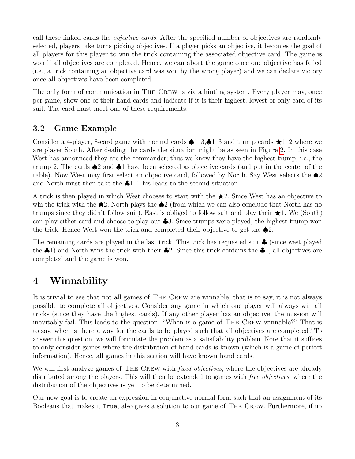call these linked cards the *objective cards*. After the specified number of objectives are randomly selected, players take turns picking objectives. If a player picks an objective, it becomes the goal of all players for this player to win the trick containing the associated objective card. The game is won if all objectives are completed. Hence, we can abort the game once one objective has failed (i.e., a trick containing an objective card was won by the wrong player) and we can declare victory once all objectives have been completed.

The only form of communication in The Crew is via a hinting system. Every player may, once per game, show one of their hand cards and indicate if it is their highest, lowest or only card of its suit. The card must meet one of these requirements.

### <span id="page-5-0"></span>3.2 Game Example

Consider a 4-player, 8-card game with normal cards  $\triangle 1-3$ ,  $\triangle 1-3$  and trump cards  $\star 1-2$  where we are player South. After dealing the cards the situation might be as seen in Figure [2.](#page-6-1) In this case West has announced they are the commander; thus we know they have the highest trump, i.e., the trump 2. The cards ♠2 and ♣1 have been selected as objective cards (and put in the center of the table). Now West may first select an objective card, followed by North. Say West selects the  $\triangle 2$ and North must then take the ♣1. This leads to the second situation.

A trick is then played in which West chooses to start with the  $\bigstar$ 2. Since West has an objective to win the trick with the  $\triangle 2$ , North plays the  $\triangle 2$  (from which we can also conclude that North has no trumps since they didn't follow suit). East is obliged to follow suit and play their  $\star$ 1. We (South) can play either card and choose to play our ♣3. Since trumps were played, the highest trump won the trick. Hence West won the trick and completed their objective to get the  $\triangle 2$ .

The remaining cards are played in the last trick. This trick has requested suit ♣ (since west played the  $\clubsuit$ 1) and North wins the trick with their  $\clubsuit$ 2. Since this trick contains the  $\clubsuit$ 1, all objectives are completed and the game is won.

### <span id="page-5-1"></span>4 Winnability

It is trivial to see that not all games of THE CREW are winnable, that is to say, it is not always possible to complete all objectives. Consider any game in which one player will always win all tricks (since they have the highest cards). If any other player has an objective, the mission will inevitably fail. This leads to the question: "When is a game of The Crew winnable?" That is to say, when is there a way for the cards to be played such that all objectives are completed? To answer this question, we will formulate the problem as a satisfiability problem. Note that it suffices to only consider games where the distribution of hand cards is known (which is a game of perfect information). Hence, all games in this section will have known hand cards.

We will first analyze games of THE CREW with *fixed objectives*, where the objectives are already distributed among the players. This will then be extended to games with *free objectives*, where the distribution of the objectives is yet to be determined.

Our new goal is to create an expression in conjunctive normal form such that an assignment of its Booleans that makes it True, also gives a solution to our game of The Crew. Furthermore, if no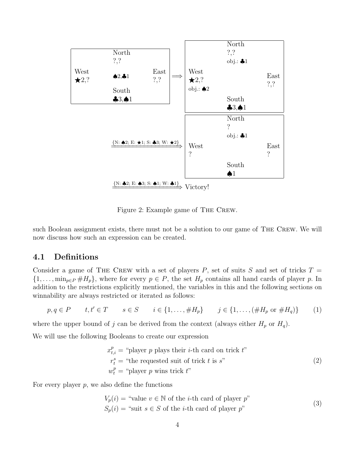

<span id="page-6-1"></span>Figure 2: Example game of The Crew.

such Boolean assignment exists, there must not be a solution to our game of The Crew. We will now discuss how such an expression can be created.

#### <span id="page-6-0"></span>4.1 Definitions

Consider a game of THE CREW with a set of players P, set of suits S and set of tricks  $T =$  $\{1,\ldots,\min_{p\in P}\#H_p\}$ , where for every  $p\in P$ , the set  $H_p$  contains all hand cards of player p. In addition to the restrictions explicitly mentioned, the variables in this and the following sections on winnability are always restricted or iterated as follows:

$$
p, q \in P
$$
  $t, t' \in T$   $s \in S$   $i \in \{1, ..., \#H_p\}$   $j \in \{1, ..., (\#H_p \text{ or } \#H_q)\}$  (1)

where the upper bound of j can be derived from the context (always either  $H_p$  or  $H_q$ ).

We will use the following Booleans to create our expression

$$
x_{t,i}^{p} = "player p plays their i-th card on trick t"\n r_{t}^{s} = "the requested suit of trick t is s"\n w_{t}^{p} = "player p wins trick t"\n(2)
$$

For every player  $p$ , we also define the functions

$$
V_p(i) = "value v \in \mathbb{N} \text{ of the } i\text{-th card of player } p"
$$
  

$$
S_p(i) = "suit s \in S \text{ of the } i\text{-th card of player } p"
$$
 (3)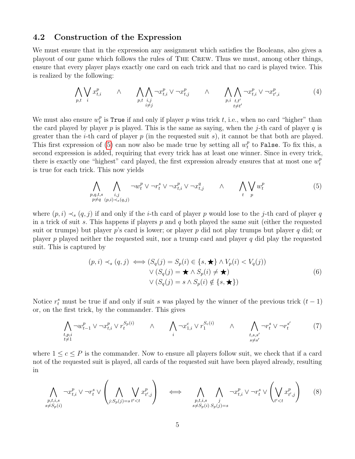#### <span id="page-7-0"></span>4.2 Construction of the Expression

We must ensure that in the expression any assignment which satisfies the Booleans, also gives a playout of our game which follows the rules of The Crew. Thus we must, among other things, ensure that every player plays exactly one card on each trick and that no card is played twice. This is realized by the following:

<span id="page-7-2"></span>
$$
\bigwedge_{p,t} \bigvee_{i} x_{t,i}^{p} \qquad \wedge \qquad \bigwedge_{p,t} \bigwedge_{\substack{i,j \\ i \neq j}} \neg x_{t,i}^{p} \vee \neg x_{t,j}^{p} \qquad \wedge \qquad \bigwedge_{p,i} \bigwedge_{\substack{t,t' \\ t \neq t'}} \neg x_{t,i}^{p} \vee \neg x_{t',i}^{p} \qquad (4)
$$

We must also ensure  $w_t^p$  $_t^p$  is True if and only if player p wins trick t, i.e., when no card "higher" than the card played by player p is played. This is the same as saying, when the j-th card of player q is greater than the *i*-th card of player p (in the requested suit s), it cannot be that both are played. This first expression of [\(5\)](#page-7-1) can now also be made true by setting all  $w_t^p$  $_t^p$  to False. To fix this, a second expression is added, requiring that every trick has at least one winner. Since in every trick, there is exactly one "highest" card played, the first expression already ensures that at most one  $w_t^p$ t is true for each trick. This now yields

<span id="page-7-1"></span>
$$
\bigwedge_{\substack{p,q,t,s\\p\neq q}} \bigwedge_{\substack{i,j\\(p,i)\prec s(q,j)}} \neg w_t^p \lor \neg r_t^s \lor \neg x_{t,i}^p \lor \neg x_{t,j}^q \qquad \land \qquad \bigwedge_t \bigvee_v w_t^p \tag{5}
$$

where  $(p, i) \prec_s (q, j)$  if and only if the *i*-th card of player p would lose to the j-th card of player q in a trick of suit s. This happens if players  $p$  and  $q$  both played the same suit (either the requested suit or trumps) but player p's card is lower; or player p did not play trumps but player q did; or player p played neither the requested suit, nor a trump card and player q did play the requested suit. This is captured by

<span id="page-7-4"></span><span id="page-7-3"></span>
$$
(p, i) \prec_s (q, j) \iff (S_q(j) = S_p(i) \in \{s, \star\} \land V_p(i) < V_q(j))
$$
\n
$$
\lor (S_q(j) = \star \land S_p(i) \neq \star)
$$
\n
$$
\lor (S_q(j) = s \land S_p(i) \notin \{s, \star\})
$$
\n
$$
(6)
$$

Notice  $r_t^s$  must be true if and only if suit s was played by the winner of the previous trick  $(t-1)$ or, on the first trick, by the commander. This gives

$$
\bigwedge_{\substack{t,p,i\\t\neq 1}} \neg w_{t-1}^p \lor \neg x_{t,i}^p \lor r_t^{S_p(i)} \qquad \land \qquad \bigwedge_i \neg x_{1,i}^c \lor r_1^{S_c(i)} \qquad \land \qquad \bigwedge_{\substack{t,s,s'\\s\neq s'}} \neg r_t^s \lor \neg r_t^{s'} \qquad (7)
$$

where  $1 \leq c \leq P$  is the commander. Now to ensure all players follow suit, we check that if a card not of the requested suit is played, all cards of the requested suit have been played already, resulting in

$$
\bigwedge_{\substack{p,t,i,s\\s\neq S_p(i)}} \neg x_{t,i}^p \lor \neg r_t^s \lor \left(\bigwedge_{j:S_p(j)=s} \bigvee_{t'
$$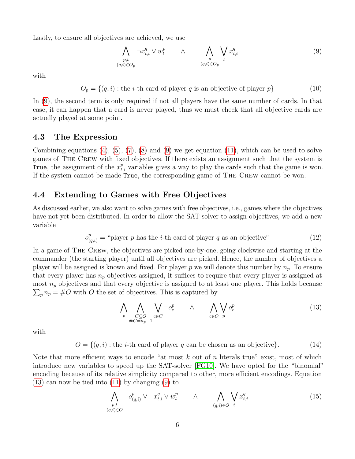Lastly, to ensure all objectives are achieved, we use

<span id="page-8-2"></span>
$$
\bigwedge_{\substack{p,t\\(q,i)\in O_p}} \neg x_{t,i}^q \lor w_t^p \qquad \land \qquad \bigwedge_{\substack{p\\(q,i)\in O_p}} \bigvee_{t} x_{t,i}^q \tag{9}
$$

with

$$
O_p = \{(q, i) : \text{the } i \text{-th card of player } q \text{ is an objective of player } p\}
$$
 (10)

In [\(9\)](#page-8-2), the second term is only required if not all players have the same number of cards. In that case, it can happen that a card is never played, thus we must check that all objective cards are actually played at some point.

#### <span id="page-8-0"></span>4.3 The Expression

Combining equations  $(4)$ ,  $(5)$ ,  $(7)$ ,  $(8)$  and  $(9)$  we get equation  $(11)$ , which can be used to solve games of The Crew with fixed objectives. If there exists an assignment such that the system is True, the assignment of the  $x_{t,i}^p$  variables gives a way to play the cards such that the game is won. If the system cannot be made True, the corresponding game of The Crew cannot be won.

#### <span id="page-8-1"></span>4.4 Extending to Games with Free Objectives

As discussed earlier, we also want to solve games with free objectives, i.e., games where the objectives have not yet been distributed. In order to allow the SAT-solver to assign objectives, we add a new variable

$$
o_{(q,i)}^p = \text{``player } p \text{ has the } i\text{-th card of player } q \text{ as an objective''} \tag{12}
$$

In a game of The Crew, the objectives are picked one-by-one, going clockwise and starting at the commander (the starting player) until all objectives are picked. Hence, the number of objectives a player will be assigned is known and fixed. For player p we will denote this number by  $n_p$ . To ensure that every player has  $n_p$  objectives assigned, it suffices to require that every player is assigned at most  $n_p$  objectives and that every objective is assigned to at least one player. This holds because  $\sum_{p} n_p = \text{\#}O$  with O the set of objectives. This is captured by

<span id="page-8-3"></span>
$$
\bigwedge_{p} \bigwedge_{\substack{C \subseteq O \\ \#C = n_p + 1}} \bigvee_{c \in C} \neg o_c^p \qquad \wedge \qquad \bigwedge_{c \in O} \bigvee_{p} o_c^p \tag{13}
$$

with

 $O = \{(q, i) : \text{the } i\text{-th card of player } q \text{ can be chosen as an objective}\}.$  (14)

Note that more efficient ways to encode "at most k out of n literals true" exist, most of which introduce new variables to speed up the SAT-solver [\[FG10\]](#page-21-6). We have opted for the "binomial" encoding because of its relative simplicity compared to other, more efficient encodings. Equation [\(13\)](#page-8-3) can now be tied into [\(11\)](#page-9-0) by changing [\(9\)](#page-8-2) to

$$
\bigwedge_{\substack{p,t\\(q,i)\in O}} \neg o_{(q,i)}^p \lor \neg x_{t,i}^q \lor w_t^p \qquad \land \qquad \bigwedge_{(q,i)\in O} \bigvee_t x_{t,i}^q \qquad (15)
$$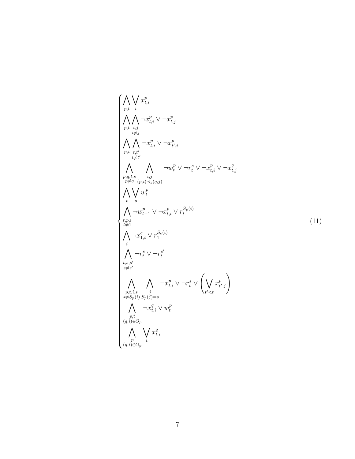<span id="page-9-0"></span>
$$
\begin{cases}\n\bigwedge_{p,t} \bigvee_{i} x_{t,i}^{p} \\
\bigwedge_{p,t} \bigwedge_{i,j} \neg x_{t,i}^{p} \lor \neg x_{t,j}^{p} \\
\bigwedge_{p,t} \bigwedge_{i \neq j} \neg x_{t,i}^{p} \lor \neg x_{t',i}^{p} \\
\bigwedge_{p,i} \bigwedge_{t \neq t'} \neg w_{t}^{p} \lor \neg r_{t}^{s} \lor \neg x_{t,i}^{p} \lor \neg x_{t,j}^{q}\n\end{cases}
$$
\n
$$
\bigwedge_{p,q,t,s} \bigwedge_{i,j} \bigwedge_{i,j} \neg w_{t}^{p} \lor \neg r_{t}^{s} \lor \neg x_{t,i}^{p} \lor \neg x_{t,j}^{q}\n\end{cases}
$$
\n
$$
\bigwedge_{i} \bigvee_{p,i} \neg w_{t-1}^{p} \lor \neg x_{t,i}^{p} \lor r_{t}^{S_{p}(i)}
$$
\n
$$
\bigwedge_{i \neq j} \neg x_{1,i}^{c} \lor r_{1}^{S_{e}(i)}
$$
\n
$$
\bigwedge_{i \neq j} \neg x_{1,i}^{c} \lor r_{i}^{S_{e}(i)}
$$
\n
$$
\bigwedge_{i \neq j \neq s} \neg r_{i}^{s} \lor \neg r_{i}^{s} \lor \bigwedge_{i \neq t,s} \neg x_{t,i}^{p} \lor \bigwedge_{i' < t} x_{i',j}^{p}\n\end{cases}
$$
\n
$$
\bigwedge_{i \neq j} \bigwedge_{i \neq j} \neg x_{i,i}^{q} \lor w_{i}^{p}
$$
\n
$$
\bigwedge_{i \neq j} \neg x_{i,i}^{q} \lor w_{i}^{p}
$$
\n
$$
\bigwedge_{i \neq j} \neg x_{i,i}^{q} \lor w_{i}^{p}
$$
\n
$$
\bigwedge_{i \neq j} \neg x_{i,i}^{q} \lor w_{i}^{p}
$$
\n
$$
\bigwedge_{i \neq j} \neg x_{i}^{q} \lor w_{i}^{p}
$$
\n
$$
\bigwedge_{i \neq j} \neg x_{i}^{q} \lor w_{i}^{q}
$$
\n
$$
\bigwedge_{i \neq j}
$$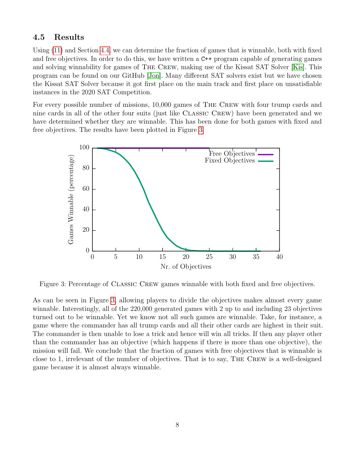#### <span id="page-10-0"></span>4.5 Results

Using [\(11\)](#page-9-0) and Section [4.4,](#page-8-1) we can determine the fraction of games that is winnable, both with fixed and free objectives. In order to do this, we have written a C++ program capable of generating games and solving winnability for games of The Crew, making use of the Kissat SAT Solver [\[Kis\]](#page-21-7). This program can be found on our GitHub [\[Jon\]](#page-21-8). Many different SAT solvers exist but we have chosen the Kissat SAT Solver because it got first place on the main track and first place on unsatisfiable instances in the 2020 SAT Competition.

For every possible number of missions, 10,000 games of The Crew with four trump cards and nine cards in all of the other four suits (just like Classic Crew) have been generated and we have determined whether they are winnable. This has been done for both games with fixed and free objectives. The results have been plotted in Figure [3.](#page-10-1)



<span id="page-10-1"></span>Figure 3: Percentage of CLASSIC CREW games winnable with both fixed and free objectives.

As can be seen in Figure [3,](#page-10-1) allowing players to divide the objectives makes almost every game winnable. Interestingly, all of the 220,000 generated games with 2 up to and including 23 objectives turned out to be winnable. Yet we know not all such games are winnable. Take, for instance, a game where the commander has all trump cards and all their other cards are highest in their suit. The commander is then unable to lose a trick and hence will win all tricks. If then any player other than the commander has an objective (which happens if there is more than one objective), the mission will fail. We conclude that the fraction of games with free objectives that is winnable is close to 1, irrelevant of the number of objectives. That is to say, The Crew is a well-designed game because it is almost always winnable.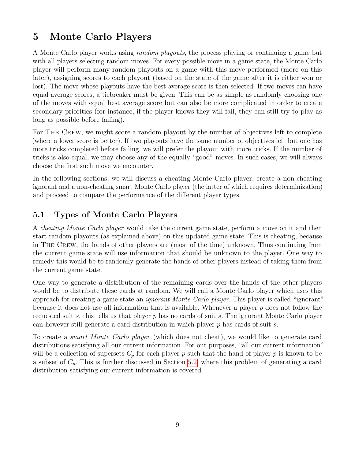# <span id="page-11-0"></span>5 Monte Carlo Players

A Monte Carlo player works using random playouts, the process playing or continuing a game but with all players selecting random moves. For every possible move in a game state, the Monte Carlo player will perform many random playouts on a game with this move performed (more on this later), assigning scores to each playout (based on the state of the game after it is either won or lost). The move whose playouts have the best average score is then selected. If two moves can have equal average scores, a tiebreaker must be given. This can be as simple as randomly choosing one of the moves with equal best average score but can also be more complicated in order to create secondary priorities (for instance, if the player knows they will fail, they can still try to play as long as possible before failing).

For THE CREW, we might score a random playout by the number of objectives left to complete (where a lower score is better). If two playouts have the same number of objectives left but one has more tricks completed before failing, we will prefer the playout with more tricks. If the number of tricks is also equal, we may choose any of the equally "good" moves. In such cases, we will always choose the first such move we encounter.

In the following sections, we will discuss a cheating Monte Carlo player, create a non-cheating ignorant and a non-cheating smart Monte Carlo player (the latter of which requires determinization) and proceed to compare the performance of the different player types.

### <span id="page-11-1"></span>5.1 Types of Monte Carlo Players

A cheating Monte Carlo player would take the current game state, perform a move on it and then start random playouts (as explained above) on this updated game state. This is cheating, because in The Crew, the hands of other players are (most of the time) unknown. Thus continuing from the current game state will use information that should be unknown to the player. One way to remedy this would be to randomly generate the hands of other players instead of taking them from the current game state.

One way to generate a distribution of the remaining cards over the hands of the other players would be to distribute these cards at random. We will call a Monte Carlo player which uses this approach for creating a game state an ignorant Monte Carlo player. This player is called "ignorant" because it does not use all information that is available. Whenever a player  $p$  does not follow the requested suit s, this tells us that player p has no cards of suit s. The ignorant Monte Carlo player can however still generate a card distribution in which player  $p$  has cards of suit  $s$ .

To create a smart Monte Carlo player (which does not cheat), we would like to generate card distributions satisfying all our current information. For our purposes, "all our current information" will be a collection of supersets  $C_p$  for each player p such that the hand of player p is known to be a subset of  $C_p$ . This is further discussed in Section [5.2,](#page-12-0) where this problem of generating a card distribution satisfying our current information is covered.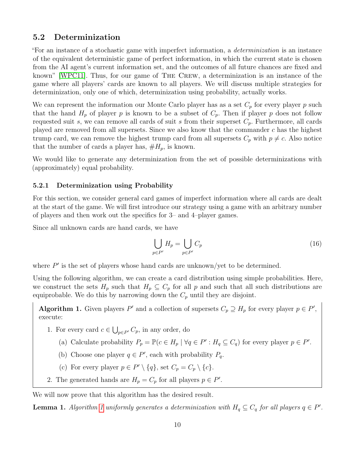#### <span id="page-12-0"></span>5.2 Determinization

"For an instance of a stochastic game with imperfect information, a determinization is an instance of the equivalent deterministic game of perfect information, in which the current state is chosen from the AI agent's current information set, and the outcomes of all future chances are fixed and known" [\[WPC11\]](#page-21-4). Thus, for our game of The Crew, a determinization is an instance of the game where all players' cards are known to all players. We will discuss multiple strategies for determinization, only one of which, determinization using probability, actually works.

We can represent the information our Monte Carlo player has as a set  $C_p$  for every player p such that the hand  $H_p$  of player p is known to be a subset of  $C_p$ . Then if player p does not follow requested suit s, we can remove all cards of suit s from their superset  $C_p$ . Furthermore, all cards played are removed from all supersets. Since we also know that the commander  $c$  has the highest trump card, we can remove the highest trump card from all supersets  $C_p$  with  $p \neq c$ . Also notice that the number of cards a player has,  $#H_p$ , is known.

We would like to generate any determinization from the set of possible determinizations with (approximately) equal probability.

#### <span id="page-12-1"></span>5.2.1 Determinization using Probability

For this section, we consider general card games of imperfect information where all cards are dealt at the start of the game. We will first introduce our strategy using a game with an arbitrary number of players and then work out the specifics for 3– and 4–player games.

Since all unknown cards are hand cards, we have

$$
\bigcup_{p \in P'} H_p = \bigcup_{p \in P'} C_p \tag{16}
$$

where  $P'$  is the set of players whose hand cards are unknown/yet to be determined.

Using the following algorithm, we can create a card distribution using simple probabilities. Here, we construct the sets  $H_p$  such that  $H_p \subseteq C_p$  for all p and such that all such distributions are equiprobable. We do this by narrowing down the  $C_p$  until they are disjoint.

<span id="page-12-2"></span>Algorithm 1. Given players P' and a collection of supersets  $C_p \supseteq H_p$  for every player  $p \in P'$ , execute:

- <span id="page-12-3"></span>1. For every card  $c \in \bigcup_{p \in P'} C_p$ , in any order, do
	- (a) Calculate probability  $P_p = \mathbb{P}(c \in H_p | \forall q \in P' : H_q \subseteq C_q)$  for every player  $p \in P'$ .
	- (b) Choose one player  $q \in P'$ , each with probability  $P_q$ .
	- (c) For every player  $p \in P' \setminus \{q\}$ , set  $C_p = C_p \setminus \{c\}$ .
- 2. The generated hands are  $H_p = C_p$  for all players  $p \in P'$ .

We will now prove that this algorithm has the desired result.

**Lemma [1](#page-12-2).** Algorithm 1 uniformly generates a determinization with  $H_q \subseteq C_q$  for all players  $q \in P'$ .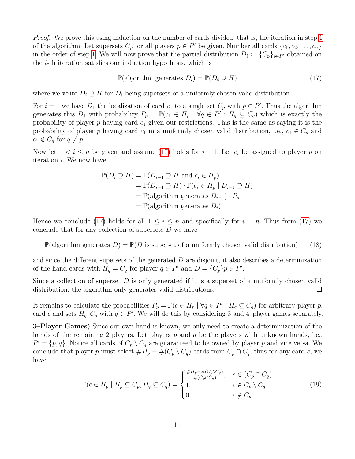Proof. We prove this using induction on the number of cards divided, that is, the iteration in step [1](#page-12-3) of the algorithm. Let supersets  $C_p$  for all players  $p \in P'$  be given. Number all cards  $\{c_1, c_2, \ldots, c_n\}$ in the order of step [1.](#page-12-3) We will now prove that the partial distribution  $D_i := \{C_p\}_{p \in P'}$  obtained on the i-th iteration satisfies our induction hypothesis, which is

<span id="page-13-0"></span>
$$
\mathbb{P}(\text{algorithm generates } D_i) = \mathbb{P}(D_i \supseteq H) \tag{17}
$$

where we write  $D_i \supseteq H$  for  $D_i$  being supersets of a uniformly chosen valid distribution.

For  $i = 1$  we have  $D_1$  the localization of card  $c_1$  to a single set  $C_p$  with  $p \in P'$ . Thus the algorithm generates this  $D_1$  with probability  $P_p = \mathbb{P}(c_1 \in H_p | \forall q \in P' : H_q \subseteq C_q)$  which is exactly the probability of player  $p$  having card  $c_1$  given our restrictions. This is the same as saying it is the probability of player p having card  $c_1$  in a uniformly chosen valid distribution, i.e.,  $c_1 \in C_p$  and  $c_1 \notin C_q$  for  $q \neq p$ .

Now let  $1 < i \leq n$  be given and assume [\(17\)](#page-13-0) holds for  $i - 1$ . Let  $c_i$  be assigned to player p on iteration i. We now have

$$
\mathbb{P}(D_i \supseteq H) = \mathbb{P}(D_{i-1} \supseteq H \text{ and } c_i \in H_p)
$$
  
=  $\mathbb{P}(D_{i-1} \supseteq H) \cdot \mathbb{P}(c_i \in H_p | D_{i-1} \supseteq H)$   
=  $\mathbb{P}(\text{algorithm generates } D_{i-1}) \cdot P_p$   
=  $\mathbb{P}(\text{algorithm generates } D_i)$ 

Hence we conclude [\(17\)](#page-13-0) holds for all  $1 \leq i \leq n$  and specifically for  $i = n$ . Thus from (17) we conclude that for any collection of supersets D we have

 $\mathbb{P}(\text{algorithm generates } D) = \mathbb{P}(D \text{ is superset of a uniformly chosen valid distribution})$  (18)

and since the different supersets of the generated  $D$  are disjoint, it also describes a determinization of the hand cards with  $H_q = C_q$  for player  $q \in P'$  and  $D = \{C_p\}p \in P'$ .

Since a collection of superset  $D$  is only generated if it is a superset of a uniformly chosen valid distribution, the algorithm only generates valid distributions.  $\Box$ 

It remains to calculate the probabilities  $P_p = \mathbb{P}(c \in H_p | \forall q \in P' : H_q \subseteq C_q)$  for arbitrary player p, card c and sets  $H_q, C_q$  with  $q \in P'$ . We will do this by considering 3 and 4-player games separately.

3–Player Games) Since our own hand is known, we only need to create a determinization of the hands of the remaining 2 players. Let players p and q be the players with unknown hands, i.e.,  $P' = \{p, q\}$ . Notice all cards of  $C_p \setminus C_q$  are guaranteed to be owned by player p and vice versa. We conclude that player p must select  $#H_p - \#(C_p \setminus C_q)$  cards from  $C_p \cap C_q$ , thus for any card c, we have

$$
\mathbb{P}(c \in H_p \mid H_p \subseteq C_p, H_q \subseteq C_q) = \begin{cases} \frac{\#H_p - \#(C_p \setminus C_q)}{\#(C_p \cap C_q)}, & c \in (C_p \cap C_q) \\ 1, & c \in C_p \setminus C_q \\ 0, & c \notin C_p \end{cases}
$$
(19)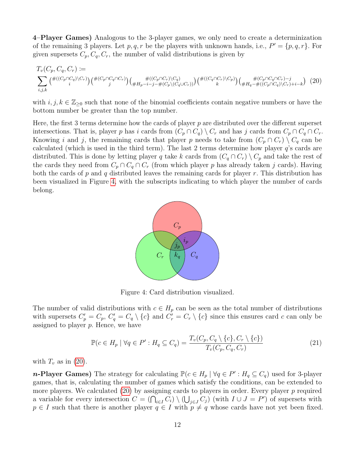4–Player Games) Analogous to the 3-player games, we only need to create a determinization of the remaining 3 players. Let p, q, r be the players with unknown hands, i.e.,  $P' = \{p, q, r\}$ . For given supersets  $C_p, C_q, C_r$ , the number of valid distributions is given by

$$
T_v(C_p, C_q, C_r) := \sum_{i,j,k} \left( \#((C_p \cap C_q) \setminus C_r) \right) \left( \#(C_p \cap C_q \cap C_r) \setminus C_q) \right) \left( \#(C_p \cap C_q \cap C_r) \setminus C_q \right) \left( \#(C_q \cap C_r) \setminus C_p \right) \left( \#(C_p \cap C_q \cap C_r) - j \right) \left( \#(C_p \cap C_q \cap C_r) \setminus C_q \right) \left( \#(C_p \cap C_q \cap C_r) \setminus C_q \right) \left( \#(C_p \cap C_q \cap C_r) \setminus C_q \right) \left( \#(C_p \cap C_q \cap C_r) \setminus C_q \right) \left( \#(C_p \cap C_q \cap C_r) \setminus C_q \right) \left( \#(C_p \cap C_q \cap C_r) \setminus C_q \right) \left( \#(C_p \cap C_q \cap C_r) \setminus C_q \right) \left( \#(C_p \cap C_q \cap C_r) \setminus C_q \right) \left( \#(C_p \cap C_q \cap C_r) \setminus C_q \right) \left( \#(C_p \cap C_q \cap C_r) \setminus C_q \right) \left( \#(C_p \cap C_q \cap C_r) \setminus C_q \right) \left( \#(C_p \cap C_q \cap C_r) \setminus C_q \right) \left( \#(C_p \cap C_q \cap C_r) \setminus C_q \right) \left( \#(C_p \cap C_q \cap C_r) \setminus C_q \right) \left( \#(C_p \cap C_q \cap C_r) \setminus C_q \right) \left( \#(C_p \cap C_q \cap C_r) \setminus C_q \right) \left( \#(C_p \cap C_q \cap C_r) \setminus C_q \right) \left( \#(C_p \cap C_q \cap C_r) \setminus C_q \right) \left( \#(C_p \cap C_q \cap C_r) \setminus C_q \right) \left( \#(C_p \cap C_q \cap C_r) \setminus C_q \right) \left( \#(C_p \cap C_q \cap C_r) \setminus C_q \right) \left( \#(C_p \cap C_q \cap C_r) \setminus C_q \right) \left( \#(C_p \cap C_q \cap C_r) \setminus C_q \right) \left( \#(C_p \cap C_q \cap C_r) \setminus C_q \right) \left( \#(C_p \cap C_q \cap C_r) \setminus C_q \right
$$

with  $i, j, k \in \mathbb{Z}_{\geq 0}$  such that none of the binomial coefficients contain negative numbers or have the bottom number be greater than the top number.

Here, the first 3 terms determine how the cards of player  $p$  are distributed over the different superset intersections. That is, player p has i cards from  $(C_p \cap C_q) \setminus C_r$  and has j cards from  $C_p \cap C_q \cap C_r$ . Knowing i and j, the remaining cards that player p needs to take from  $(C_p \cap C_r) \setminus C_q$  can be calculated (which is used in the third term). The last 2 terms determine how player q's cards are distributed. This is done by letting player q take k cards from  $(C_q \cap C_r) \setminus C_p$  and take the rest of the cards they need from  $C_p \cap C_q \cap C_r$  (from which player p has already taken j cards). Having both the cards of p and q distributed leaves the remaining cards for player r. This distribution has been visualized in Figure [4,](#page-14-0) with the subscripts indicating to which player the number of cards belong.

<span id="page-14-1"></span>

<span id="page-14-0"></span>Figure 4: Card distribution visualized.

The number of valid distributions with  $c \in H_p$  can be seen as the total number of distributions with supersets  $C_p' = C_p$ ,  $C_q' = C_q \setminus \{c\}$  and  $C_r' = C_r \setminus \{c\}$  since this ensures card c can only be assigned to player  $p$ . Hence, we have

$$
\mathbb{P}(c \in H_p \mid \forall q \in P': H_q \subseteq C_q) = \frac{T_v(C_p, C_q \setminus \{c\}, C_r \setminus \{c\})}{T_v(C_p, C_q, C_r)}
$$
(21)

with  $T_v$  as in [\(20\)](#page-14-1).

**n-Player Games**) The strategy for calculating  $\mathbb{P}(c \in H_p | \forall q \in P' : H_q \subseteq C_q)$  used for 3-player games, that is, calculating the number of games which satisfy the conditions, can be extended to more players. We calculated  $(20)$  by assigning cards to players in order. Every player p required a variable for every intersection  $C = (\bigcap_{i \in I} C_i) \setminus (\bigcup_{j \in J} C_j)$  (with  $I \cup J = P'$ ) of supersets with  $p \in I$  such that there is another player  $q \in I$  with  $p \neq q$  whose cards have not yet been fixed.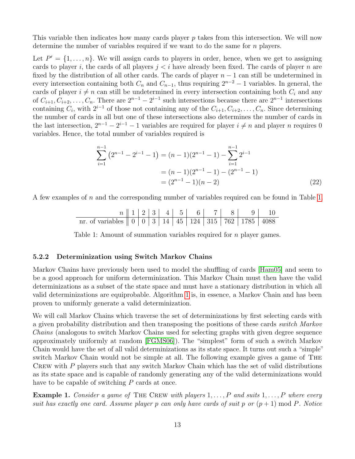This variable then indicates how many cards player p takes from this intersection. We will now determine the number of variables required if we want to do the same for n players.

Let  $P' = \{1, \ldots, n\}$ . We will assign cards to players in order, hence, when we get to assigning cards to player i, the cards of all players  $j < i$  have already been fixed. The cards of player n are fixed by the distribution of all other cards. The cards of player  $n-1$  can still be undetermined in every intersection containing both  $C_n$  and  $C_{n-1}$ , thus requiring  $2^{n-2} - 1$  variables. In general, the cards of player  $i \neq n$  can still be undetermined in every intersection containing both  $C_i$  and any of  $C_{i+1}, C_{i+2}, \ldots, C_n$ . There are  $2^{n-1} - 2^{i-1}$  such intersections because there are  $2^{n-1}$  intersections containing  $C_i$ , with  $2^{i-1}$  of those not containing any of the  $C_{i+1}, C_{i+2}, \ldots, C_n$ . Since determining the number of cards in all but one of these intersections also determines the number of cards in the last intersection,  $2^{n-1} - 2^{i-1} - 1$  variables are required for player  $i \neq n$  and player n requires 0 variables. Hence, the total number of variables required is

$$
\sum_{i=1}^{n-1} (2^{n-1} - 2^{i-1} - 1) = (n-1)(2^{n-1} - 1) - \sum_{i=1}^{n-1} 2^{i-1}
$$

$$
= (n-1)(2^{n-1} - 1) - (2^{n-1} - 1)
$$

$$
= (2^{n-1} - 1)(n-2)
$$
(22)

A few examples of n and the corresponding number of variables required can be found in Table [1.](#page-15-1)

n 1 2 3 4 5 6 7 8 9 10 nr. of variables 0 0 3 14 45 124 315 762 1785 4088

<span id="page-15-1"></span>Table 1: Amount of summation variables required for *n* player games.

#### <span id="page-15-0"></span>5.2.2 Determinization using Switch Markov Chains

Markov Chains have previously been used to model the shuffling of cards [\[Ham05\]](#page-21-9) and seem to be a good approach for uniform determinization. This Markov Chain must then have the valid determinizations as a subset of the state space and must have a stationary distribution in which all valid determinizations are equiprobable. Algorithm [1](#page-12-2) is, in essence, a Markov Chain and has been proven to uniformly generate a valid determinization.

We will call Markov Chains which traverse the set of determinizations by first selecting cards with a given probability distribution and then transposing the positions of these cards switch Markov Chains (analogous to switch Markov Chains used for selecting graphs with given degree sequence approximately uniformly at random [\[FGMS06\]](#page-21-10)). The "simplest" form of such a switch Markov Chain would have the set of all valid determinizations as its state space. It turns out such a "simple" switch Markov Chain would not be simple at all. The following example gives a game of The CREW with  $P$  players such that any switch Markov Chain which has the set of valid distributions as its state space and is capable of randomly generating any of the valid determinizations would have to be capable of switching P cards at once.

**Example 1.** Consider a game of THE CREW with players  $1, \ldots, P$  and suits  $1, \ldots, P$  where every suit has exactly one card. Assume player p can only have cards of suit p or  $(p + 1) \text{ mod } P$ . Notice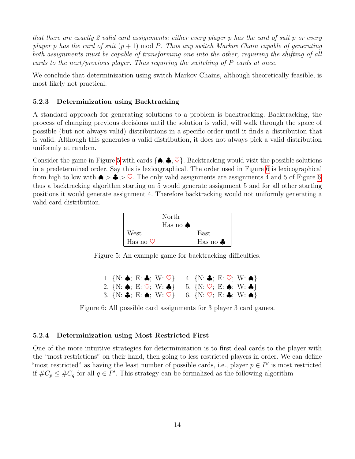that there are exactly 2 valid card assignments: either every player p has the card of suit p or every player p has the card of suit  $(p+1) \mod P$ . Thus any switch Markov Chain capable of generating both assignments must be capable of transforming one into the other, requiring the shifting of all cards to the next/previous player. Thus requiring the switching of P cards at once.

We conclude that determinization using switch Markov Chains, although theoretically feasible, is most likely not practical.

#### <span id="page-16-0"></span>5.2.3 Determinization using Backtracking

A standard approach for generating solutions to a problem is backtracking. Backtracking, the process of changing previous decisions until the solution is valid, will walk through the space of possible (but not always valid) distributions in a specific order until it finds a distribution that is valid. Although this generates a valid distribution, it does not always pick a valid distribution uniformly at random.

Consider the game in Figure [5](#page-16-2) with cards  $\{\spadesuit, \clubsuit, \heartsuit\}$ . Backtracking would visit the possible solutions in a predetermined order. Say this is lexicographical. The order used in Figure [6](#page-16-3) is lexicographical from high to low with  $\blacklozenge > \clubsuit > \heartsuit$ . The only valid assignments are assignments 4 and 5 of Figure [6,](#page-16-3) thus a backtracking algorithm starting on 5 would generate assignment 5 and for all other starting positions it would generate assignment 4. Therefore backtracking would not uniformly generating a valid card distribution.



<span id="page-16-2"></span>Figure 5: An example game for backtracking difficulties.

<span id="page-16-3"></span>

| 1. $\{N: \spadesuit; E: \clubsuit; W: \heartsuit\}$ |  | 4. $\{N: \clubsuit; E: \heartsuit; W: \spadesuit\}$ |
|-----------------------------------------------------|--|-----------------------------------------------------|
| 2. $\{N: \spadesuit; E: \heartsuit; W: \clubsuit\}$ |  | 5. $\{N: \heartsuit; E: \spadesuit; W: \clubsuit\}$ |
| 3. $\{N: \clubsuit; E: \spadesuit; W: \heartsuit\}$ |  | 6. $\{N: \heartsuit; E: \clubsuit; W: \spadesuit\}$ |

Figure 6: All possible card assignments for 3 player 3 card games.

#### <span id="page-16-1"></span>5.2.4 Determinization using Most Restricted First

One of the more intuitive strategies for determinization is to first deal cards to the player with the "most restrictions" on their hand, then going to less restricted players in order. We can define "most restricted" as having the least number of possible cards, i.e., player  $p \in P'$  is most restricted if  $\#C_p \leq \#C_q$  for all  $q \in P'$ . This strategy can be formalized as the following algorithm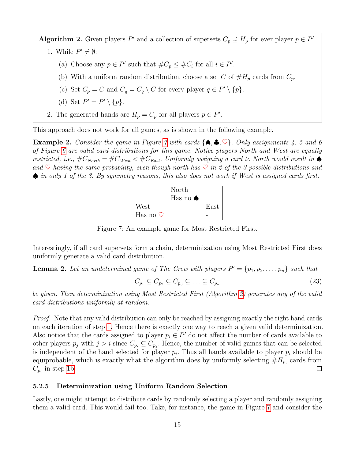<span id="page-17-3"></span><span id="page-17-2"></span>Algorithm 2. Given players P' and a collection of supersets  $C_p \supseteq H_p$  for ever player  $p \in P'$ .

- <span id="page-17-4"></span>1. While  $P' \neq \emptyset$ :
	- (a) Choose any  $p \in P'$  such that  $\#C_p \leq \#C_i$  for all  $i \in P'$ .
	- (b) With a uniform random distribution, choose a set C of  $#H_p$  cards from  $C_p$ .
	- (c) Set  $C_p = C$  and  $C_q = C_q \setminus C$  for every player  $q \in P' \setminus \{p\}.$
	- (d) Set  $P' = P' \setminus \{p\}.$
- 2. The generated hands are  $H_p = C_p$  for all players  $p \in P'$ .

This approach does not work for all games, as is shown in the following example.

**Example 2.** Consider the game in Figure [7](#page-17-1) with cards  $\{\spadesuit, \clubsuit, \heartsuit\}$ . Only assignments 4, 5 and 6 of Figure [6](#page-16-3) are valid card distributions for this game. Notice players North and West are equally restricted, i.e.,  $\#C_{North} = \#C_{West} < \#C_{East}$ . Uniformly assigning a card to North would result in  $\spadesuit$ and  $\heartsuit$  having the same probability, even though north has  $\heartsuit$  in 2 of the 3 possible distributions and ♠ in only 1 of the 3. By symmetry reasons, this also does not work if West is assigned cards first.



<span id="page-17-1"></span>Figure 7: An example game for Most Restricted First.

Interestingly, if all card supersets form a chain, determinization using Most Restricted First does uniformly generate a valid card distribution.

**Lemma 2.** Let an undetermined game of The Crew with players  $P' = \{p_1, p_2, \ldots, p_n\}$  such that

$$
C_{p_1} \subseteq C_{p_2} \subseteq C_{p_3} \subseteq \ldots \subseteq C_{p_n} \tag{23}
$$

be given. Then determinization using Most Restricted First (Algorithm [2\)](#page-17-2) generates any of the valid card distributions uniformly at random.

Proof. Note that any valid distribution can only be reached by assigning exactly the right hand cards on each iteration of step [1.](#page-17-3) Hence there is exactly one way to reach a given valid determinization. Also notice that the cards assigned to player  $p_i \in P'$  do not affect the number of cards available to other players  $p_j$  with  $j > i$  since  $C_{p_i} \subseteq C_{p_j}$ . Hence, the number of valid games that can be selected is independent of the hand selected for player  $p_i$ . Thus all hands available to player  $p_i$  should be equiprobable, which is exactly what the algorithm does by uniformly selecting  $#H_{p_i}$  cards from  $C_{p_i}$  in step [1b.](#page-17-4)  $\Box$ 

#### <span id="page-17-0"></span>5.2.5 Determinization using Uniform Random Selection

Lastly, one might attempt to distribute cards by randomly selecting a player and randomly assigning them a valid card. This would fail too. Take, for instance, the game in Figure [7](#page-17-1) and consider the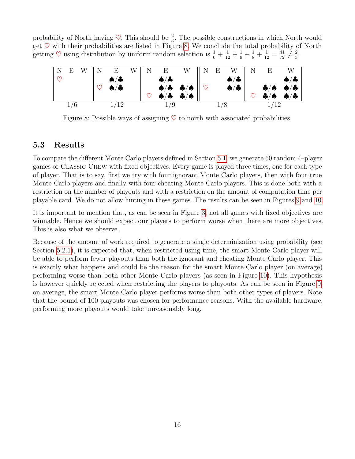probability of North having  $\heartsuit$ . This should be  $\frac{2}{3}$ . The possible constructions in which North would get  $\heartsuit$  with their probabilities are listed in Figure [8.](#page-18-1) We conclude the total probability of North getting  $\heartsuit$  using distribution by uniform random selection is  $\frac{1}{6} + \frac{1}{12} + \frac{1}{9} + \frac{1}{8} + \frac{1}{12} = \frac{41}{72} \neq \frac{2}{3}$  $\frac{2}{3}$ .



<span id="page-18-1"></span>Figure 8: Possible ways of assigning  $\heartsuit$  to north with associated probabilities.

#### <span id="page-18-0"></span>5.3 Results

To compare the different Monte Carlo players defined in Section [5.1,](#page-11-1) we generate 50 random 4–player games of Classic Crew with fixed objectives. Every game is played three times, one for each type of player. That is to say, first we try with four ignorant Monte Carlo players, then with four true Monte Carlo players and finally with four cheating Monte Carlo players. This is done both with a restriction on the number of playouts and with a restriction on the amount of computation time per playable card. We do not allow hinting in these games. The results can be seen in Figures [9](#page-19-0) and [10.](#page-19-1)

It is important to mention that, as can be seen in Figure [3,](#page-10-1) not all games with fixed objectives are winnable. Hence we should expect our players to perform worse when there are more objectives. This is also what we observe.

Because of the amount of work required to generate a single determinization using probability (see Section [5.2.1\)](#page-12-1), it is expected that, when restricted using time, the smart Monte Carlo player will be able to perform fewer playouts than both the ignorant and cheating Monte Carlo player. This is exactly what happens and could be the reason for the smart Monte Carlo player (on average) performing worse than both other Monte Carlo players (as seen in Figure [10\)](#page-19-1). This hypothesis is however quickly rejected when restricting the players to playouts. As can be seen in Figure [9,](#page-19-0) on average, the smart Monte Carlo player performs worse than both other types of players. Note that the bound of 100 playouts was chosen for performance reasons. With the available hardware, performing more playouts would take unreasonably long.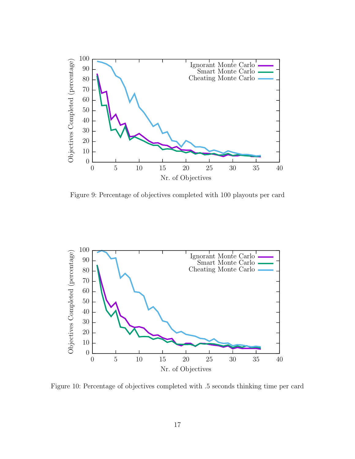

<span id="page-19-0"></span>Figure 9: Percentage of objectives completed with 100 playouts per card



<span id="page-19-1"></span>Figure 10: Percentage of objectives completed with .5 seconds thinking time per card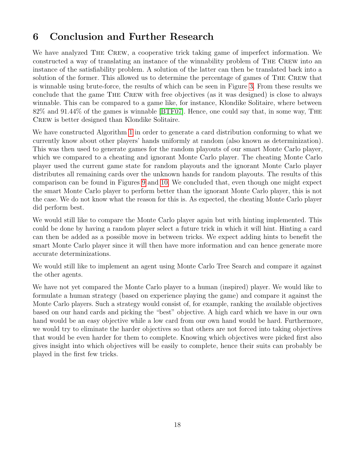# <span id="page-20-0"></span>6 Conclusion and Further Research

We have analyzed THE CREW, a cooperative trick taking game of imperfect information. We constructed a way of translating an instance of the winnability problem of The Crew into an instance of the satisfiability problem. A solution of the latter can then be translated back into a solution of the former. This allowed us to determine the percentage of games of The Crew that is winnable using brute-force, the results of which can be seen in Figure [3.](#page-10-1) From these results we conclude that the game The Crew with free objectives (as it was designed) is close to always winnable. This can be compared to a game like, for instance, Klondike Solitaire, where between 82% and 91.44% of the games is winnable [\[BTF07\]](#page-21-11). Hence, one could say that, in some way, The Crew is better designed than Klondike Solitaire.

We have constructed Algorithm [1](#page-12-2) in order to generate a card distribution conforming to what we currently know about other players' hands uniformly at random (also known as determinization). This was then used to generate games for the random playouts of our smart Monte Carlo player, which we compared to a cheating and ignorant Monte Carlo player. The cheating Monte Carlo player used the current game state for random playouts and the ignorant Monte Carlo player distributes all remaining cards over the unknown hands for random playouts. The results of this comparison can be found in Figures [9](#page-19-0) and [10.](#page-19-1) We concluded that, even though one might expect the smart Monte Carlo player to perform better than the ignorant Monte Carlo player, this is not the case. We do not know what the reason for this is. As expected, the cheating Monte Carlo player did perform best.

We would still like to compare the Monte Carlo player again but with hinting implemented. This could be done by having a random player select a future trick in which it will hint. Hinting a card can then be added as a possible move in between tricks. We expect adding hints to benefit the smart Monte Carlo player since it will then have more information and can hence generate more accurate determinizations.

We would still like to implement an agent using Monte Carlo Tree Search and compare it against the other agents.

We have not yet compared the Monte Carlo player to a human (inspired) player. We would like to formulate a human strategy (based on experience playing the game) and compare it against the Monte Carlo players. Such a strategy would consist of, for example, ranking the available objectives based on our hand cards and picking the "best" objective. A high card which we have in our own hand would be an easy objective while a low card from our own hand would be hard. Furthermore, we would try to eliminate the harder objectives so that others are not forced into taking objectives that would be even harder for them to complete. Knowing which objectives were picked first also gives insight into which objectives will be easily to complete, hence their suits can probably be played in the first few tricks.